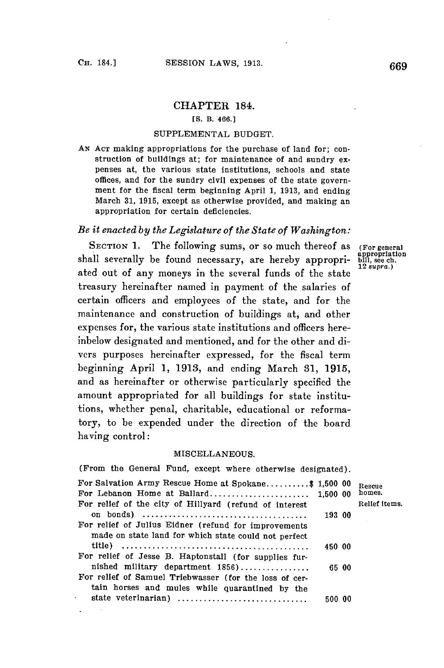## CHAPTER 184.

### **[S.** B. 466.1

#### **SUPPLEMENTAL BUDGET.**

**AN ACT** making appropriations for the purchase of land for; construction of buildings at; for maintenance of and sundry expenses at, the various state institutions, schools and state offices, and for the sundry civil expenses of the state government for the fiscal term beginning April **1, 1913,** and ending March **31, 1915,** except as otherwise provided, and making an appropriation for certain deficiencies.

# *Be it enacted by the Legislature of the State of Washington:*

SECTION 1. The following sums, or so much thereof as (For general shall severally be found necessary, are hereby appropri- bill, see ch. ated out of any moneys in the several funds of the state treasury hereinafter named in payment of the salaries of certain officers and employees of the state, and for the maintenance and construction of buildings at, and other expenses for, the various state institutions and officers hereinbelow designated and mentioned, and for the other and divers purposes hereinafter expressed, for the fiscal term beginning April **1, 1913,** and ending March **31, 1915,** and as hereinafter or otherwise particularly specified the amount appropriated for all buildings for state institutions, whether penal, charitable, educational or reformatory, to be expended under the direction of the board having control:

#### **MISCELLANEOUS.**

| (From the General Fund, except where otherwise designated).                                                  |        |              |
|--------------------------------------------------------------------------------------------------------------|--------|--------------|
| For Salvation Army Rescue Home at Spokane\$ 1,500 00                                                         |        | Rescue       |
| For Lebanon Home at Ballard 1,500 00                                                                         |        | homes.       |
| For relief of the city of Hillyard (refund of interest                                                       |        | Relief items |
|                                                                                                              | 193 00 |              |
| For relief of Julius Eidner (refund for improvements<br>made on state land for which state could not perfect |        |              |
|                                                                                                              | 450 00 |              |
| For relief of Jesse B. Haptonstall (for supplies fur-                                                        |        |              |
| nished military department 1856)                                                                             | 65 00  |              |
| For relief of Samuel Triebwasser (for the loss of cer-<br>tain horses and mules while quarantined by the     |        |              |
| state veterinarian)                                                                                          | 500 00 |              |
|                                                                                                              |        |              |

12 *.supra.)*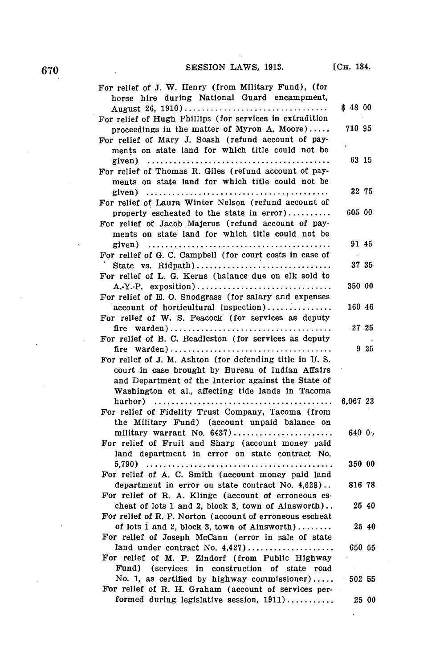$\ddot{\phantom{0}}$ 

| For relief of J. W. Henry (from Military Fund), (for<br>horse hire during National Guard encampment, |          |       |
|------------------------------------------------------------------------------------------------------|----------|-------|
| August 26, 1910)                                                                                     | \$48 00  |       |
| For relief of Hugh Phillips (for services in extradition                                             |          |       |
| proceedings in the matter of Myron A. Moore)                                                         | 710 95   |       |
| For relief of Mary J. Soash (refund account of pay-                                                  |          |       |
| ments on state land for which title could not be                                                     |          |       |
|                                                                                                      | 63 15    |       |
| For relief of Thomas R. Giles (refund account of pay-                                                |          |       |
| ments on state land for which title could not be                                                     |          |       |
| given) $\ldots \ldots \ldots \ldots \ldots \ldots \ldots \ldots \ldots \ldots \ldots \ldots \ldots$  | 32 75    |       |
| For relief of Laura Winter Nelson (refund account of                                                 |          |       |
| property escheated to the state in error)                                                            | 605 00   |       |
| For relief of Jacob Majerus (refund account of pay-                                                  |          |       |
| ments on state land for which title could not be                                                     |          |       |
| given) $\ldots \ldots \ldots \ldots \ldots \ldots \ldots \ldots \ldots \ldots \ldots \ldots \ldots$  | 91 45    |       |
| For relief of G. C. Campbell (for court costs in case of                                             |          |       |
| State vs. Ridpath)                                                                                   | 37 35    |       |
| For relief of L. G. Kerns (balance due on elk sold to                                                |          |       |
| A.-Y.-P. exposition)                                                                                 | 350 00   |       |
| For relief of E. O. Snodgrass (for salary and expenses                                               |          |       |
| account of horticultural inspection)                                                                 | 160 46   |       |
| For relief of W. S. Peacock (for services as deputy                                                  |          |       |
| fire                                                                                                 | 27 25    |       |
| For relief of B. C. Beadleston (for services as deputy                                               |          |       |
|                                                                                                      |          | 925   |
| For relief of J. M. Ashton (for defending title in U.S.                                              |          |       |
| court in case brought by Bureau of Indian Affairs                                                    |          |       |
| and Department of the Interior against the State of                                                  |          |       |
| Washington et al., affecting tide lands in Tacoma                                                    |          |       |
|                                                                                                      | 6,067 23 |       |
| For relief of Fidelity Trust Company, Tacoma (from                                                   |          |       |
| the Military Fund) (account unpaid balance on                                                        |          |       |
| military warrant No. 6437)                                                                           | 6400,    |       |
| For relief of Fruit and Sharp (account money paid                                                    |          |       |
| land department in error on state contract No.                                                       |          |       |
|                                                                                                      | 350 00   |       |
| For relief of A. C. Smith (account money paid land                                                   |          |       |
| department in error on state contract No. 4,628)                                                     | 816 78   |       |
| For relief of R. A. Klinge (account of erroneous es-                                                 |          |       |
| cheat of lots 1 and 2, block 3, town of Ainsworth)                                                   |          | 25 40 |
| For relief of R. P. Norton (account of erroneous escheat                                             |          |       |
| of lots 1 and 2, block 3, town of Ainsworth)                                                         |          | 25 40 |
| For relief of Joseph McCann (error in sale of state                                                  |          |       |
|                                                                                                      | 650 55   |       |
| For relief of M. P. Zindorf (from Public Highway                                                     |          |       |
| Fund)<br>(services in construction of state road                                                     |          |       |
| No. 1, as certified by highway commissioner)                                                         | $-50255$ |       |
| For relief of R. H. Graham (account of services per-                                                 |          |       |
| formed during legislative session, $1911$ )                                                          |          | 25 00 |

 $\overline{a}$ 

 $\ddot{\phantom{a}}$ 

 $\ddot{\phantom{0}}$ 

 $\ddot{\phantom{a}}$ 

 $\sim$   $\sim$ 

 $\bar{\beta}$ 

 $\mathcal{L}^{\text{max}}_{\text{max}}$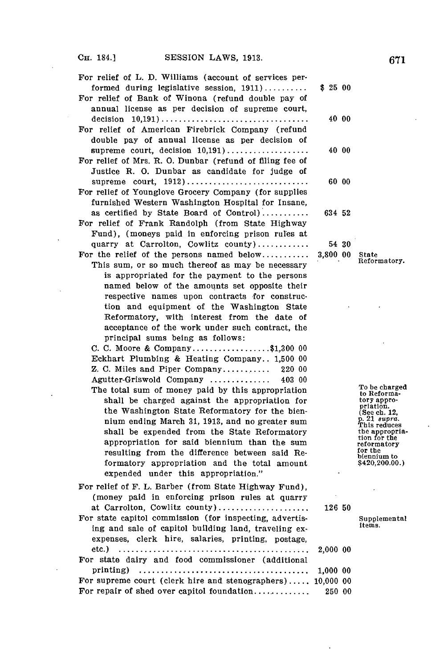l.

 $\hat{\mathcal{A}}$ 

 $\ddot{\phantom{a}}$ 

 $\hat{\mathcal{L}}$ 

| For relief of L. D. Williams (account of services per-                                                     |          |                                                 |
|------------------------------------------------------------------------------------------------------------|----------|-------------------------------------------------|
| formed during legislative session, $1911$ )<br>For relief of Bank of Winona (refund double pay of          | \$2500   |                                                 |
| annual license as per decision of supreme court,                                                           |          |                                                 |
| For relief of American Firebrick Company (refund                                                           | 40 00    |                                                 |
| double pay of annual license as per decision of                                                            |          |                                                 |
| supreme court, decision $10,191)$                                                                          | 40 00    |                                                 |
| For relief of Mrs. R. O. Dunbar (refund of filing fee of<br>Justice R. O. Dunbar as candidate for judge of |          |                                                 |
| supreme court, $1912)$                                                                                     | 60 00    |                                                 |
| For relief of Younglove Grocery Company (for supplies                                                      |          |                                                 |
| furnished Western Washington Hospital for Insane,                                                          |          |                                                 |
| as certified by State Board of Control)<br>For relief of Frank Randolph (from State Highway                | 634 52   |                                                 |
| Fund), (moneys paid in enforcing prison rules at                                                           |          |                                                 |
| quarry at Carrolton, Cowlitz county)                                                                       | 54 30    |                                                 |
| For the relief of the persons named below                                                                  | 3,800 00 | State<br>Reformatory.                           |
| This sum, or so much thereof as may be necessary                                                           |          |                                                 |
| is appropriated for the payment to the persons<br>named below of the amounts set opposite their            |          |                                                 |
| respective names upon contracts for construc-                                                              |          |                                                 |
| tion and equipment of the Washington State                                                                 |          |                                                 |
| Reformatory, with interest from the date of                                                                |          |                                                 |
| acceptance of the work under such contract, the                                                            |          |                                                 |
| principal sums being as follows:<br>C. C. Moore & Company\$1,300 00                                        |          |                                                 |
| Eckhart Plumbing & Heating Company 1,500 00                                                                |          |                                                 |
| Z. C. Miles and Piper Company<br>220 00                                                                    |          |                                                 |
| Agutter-Griswold Company<br>403 00                                                                         |          |                                                 |
| The total sum of money paid by this appropriation                                                          |          | To be charged<br>to Reforma-                    |
| shall be charged against the appropriation for<br>the Washington State Reformatory for the bien-           |          | tory appro-<br>priation.                        |
| nium ending March 31, 1913, and no greater sum                                                             |          | $($ See ch. 12, p. 21 $supra$ .<br>This reduces |
| shall be expended from the State Reformatory                                                               |          | the appropria-<br>tion for the                  |
| appropriation for said biennium than the sum                                                               |          | reformatory<br>for the                          |
| resulting from the difference between said Re-<br>formatory appropriation and the total amount             |          | biennium to<br>\$420,200.00.)                   |
| expended under this appropriation."                                                                        |          |                                                 |
| For relief of F. L. Barber (from State Highway Fund),                                                      |          |                                                 |
| (money paid in enforcing prison rules at quarry                                                            |          |                                                 |
| at Carrolton, Cowlitz county)                                                                              | 126 50   |                                                 |
| For state capitol commission (for inspecting, advertis-                                                    |          | Supplemental<br>items.                          |
| ing and sale of capitol building land, traveling ex-<br>expenses, clerk hire, salaries, printing, postage, |          |                                                 |
| etc.)                                                                                                      | 2,000 00 |                                                 |
| For state dairy and food commissioner (additional                                                          |          |                                                 |
| printing)                                                                                                  | 1,000 00 |                                                 |
| For supreme court (clerk hire and stenographers) 10,000 00                                                 |          |                                                 |
| For repair of shed over capitol foundation                                                                 | 250 00   |                                                 |

 $\ddot{\phantom{a}}$ 

 $\overline{a}$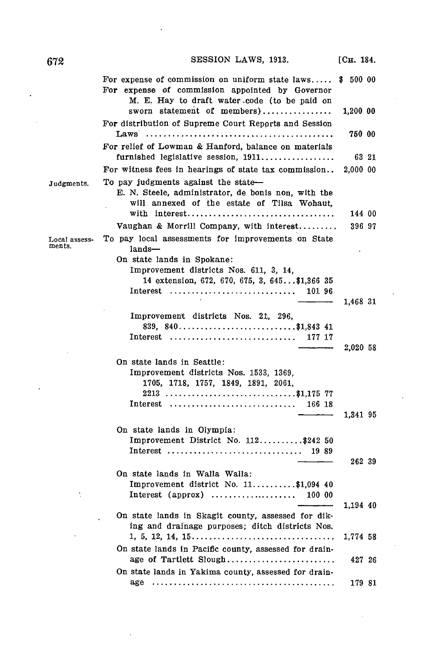For expense of commission on uniform state **laws..... \$ 500 00** For expense of commission appointed **by** Governor M. **E.** Hay to draft water -code (to be paid on sworn statement of members) **...............** 1,200 **00** For distribution of Supreme Court Reports and Session Laws **........................................ 750 00** For relief of Lowman **&** Hanford, balance on materials furnished legislative session, **1911................. .63** 21 For witness fees in hearings of state tax commission.. 2,000 **00** Judgments. To pay judgments against the state-*E.* **N.** Steele, administrator, de bonis non, with the will annexed of the estate of Tilsa Wohaut, with **interest...............................** 144 **<sup>00</sup>** Vaughan **&** Morrill Company, with **interest......... .396 97** Local assess- To pay local assessments for improvements on State ments  $lands-$ On state lands in Spokane: Improvement districts Nos. **611, 3,** 14, 14 extension, **672, 670, 675, 3,** 645 **... \$1,366 35** Interest **............................. 101 96** 1,468 **31** Improvement districts Nos. 21, **296, 839, 840...........................\$1,843** 41 Interest **............................. 177 17** 2,020 **58** On state lands in Seattle: Improvement districts Nos. **1533, 1369, 1705, 1718, 1757,** 1849, **1891, 2061, 2213 .......................... \$1,175 77** Interest **........................... 166 18** 1,341 **95** On state lands in Olympia: Improvement District No. **112..........** \$242 **50** Interest **............................ 19 89 262 39** On state lands in Walla Walla: Improvement district No. **11..........\$1,094** 40 Interest (approx) **................... 100 00** 1,194 40 On state lands in Skagit county, assessed for diking and drainage purposes; ditch districts Nos. **1,** 5, 12, 14, **15............................. 1,774 58** On state lands in Pacific county, assessed for drainage of Tartlett **Slough.......................** 427 **<sup>26</sup> On** state lands in Yakima county, assessed for drainage **....................................... 179 81 SESSION LAWS, 1913.** [CH. 184.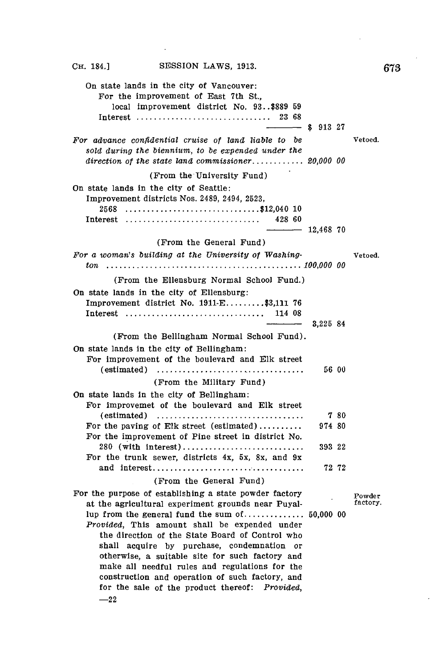| SESSION LAWS, 1913.<br>Сн. 184.]                                                                                                                                                                                                                     |                |       | 67.                |
|------------------------------------------------------------------------------------------------------------------------------------------------------------------------------------------------------------------------------------------------------|----------------|-------|--------------------|
| On state lands in the city of Vancouver:<br>For the improvement of East 7th St.,<br>local improvement district No. 93\$889 59<br>Interest  23 68                                                                                                     | $-8$ \$ 913 27 |       |                    |
| For advance confidential cruise of land liable to be<br>sold during the biennium, to be expended under the<br>direction of the state land commissioner 20,000 00                                                                                     |                |       | Vetoed.            |
| (From the University Fund)                                                                                                                                                                                                                           |                |       |                    |
| On state lands in the city of Seattle:<br>Improvement districts Nos. 2489, 2494, 2523,<br>2568 \$12,040 10<br>Interest  428 60                                                                                                                       |                |       |                    |
|                                                                                                                                                                                                                                                      | $-$ 12.468 70  |       |                    |
| (From the General Fund)                                                                                                                                                                                                                              |                |       |                    |
| For a woman's building at the University of Washing-                                                                                                                                                                                                 |                |       | Vetoed.            |
| (From the Ellensburg Normal School Fund.)                                                                                                                                                                                                            |                |       |                    |
| On state lands in the city of Ellensburg:<br>Improvement district No. 1911-E\$3,111 76<br>Interest  114 08                                                                                                                                           | 3.225 84       |       |                    |
| (From the Bellingham Normal School Fund).                                                                                                                                                                                                            |                |       |                    |
| On state lands in the city of Bellingham:<br>For improvement of the boulevard and Elk street<br>$(estimated)$                                                                                                                                        |                | 56 00 |                    |
| (From the Military Fund)                                                                                                                                                                                                                             |                |       |                    |
| On state lands in the city of Bellingham:<br>For improvemet of the boulevard and Elk street                                                                                                                                                          |                |       |                    |
| $(estimated)$                                                                                                                                                                                                                                        |                | 7 80  |                    |
| For the paving of Elk street (estimated)<br>For the improvement of Pine street in district No.                                                                                                                                                       | 974 80         |       |                    |
| 280 (with interest)<br>For the trunk sewer, districts 4x, 5x, 8x, and 9x                                                                                                                                                                             | 393 22         |       |                    |
|                                                                                                                                                                                                                                                      |                | 72 72 |                    |
| (From the General Fund)                                                                                                                                                                                                                              |                |       |                    |
| For the purpose of establishing a state powder factory<br>at the agricultural experiment grounds near Puyal-<br><i>Provided</i> , This amount shall be expended under<br>the direction of the State Board of Control who                             |                |       | Powder<br>factory. |
| shall acquire by purchase, condemnation or<br>otherwise, a suitable site for such factory and<br>make all needful rules and regulations for the<br>construction and operation of such factory, and<br>for the sale of the product thereof: Provided, |                |       |                    |

 $\ddot{\phantom{a}}$ 

 $\ddot{\phantom{a}}$ 

 $\sim$ 

 $\mathbb{Z}^2$ 

 $-22$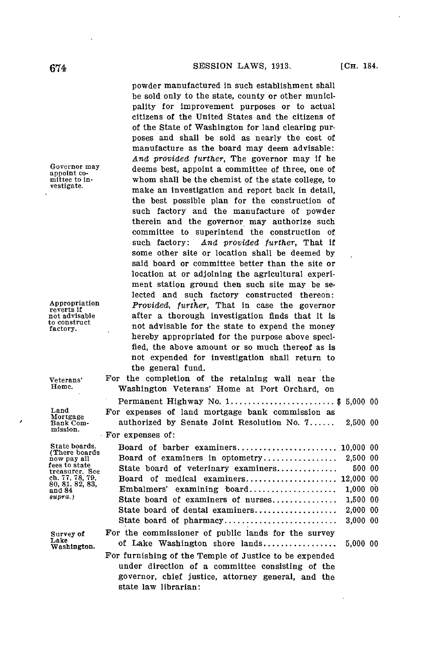powder manufactured in such establishment shall be sold only to the state, county or other municipality for improvement purposes or to actual citizens of the United States and the citizens of of the State of Washington for land clearing purposes and shall be sold as nearly the cost of manufacture as the board may deem advisable: *And provided further,* The governor may if he Governor may deems best, appoint a committee of three, one of appoint co-<br>appoint co-Intitude to in-<br>mittee to in-<br>whom shall be the chemist of the state college, to vestigate. make an investigation and report back in detail, the best possible plan for the construction of such factory and the manufacture of powder therein and the governor may authorize such committee to superintend the construction of such factory: *And provided further,* That if some other site or location shall be deemed **by** said board or committee better than the site or location at or adjoining the agricultural experiment station ground then such site may be selected and such factory constructed thereon:<br> *Provided, further,* That in case the governor<br>
not advisable after a thorough investigation finds that it is after a thorough investigation finds that it is not advisable for the state to expend the money hereby appropriated for the purpose above specified, the above amount or so much thereof as is not expended for investigation shall return to the general fund. Veterans' For the completion of the retaining wall near the Home.<br>Home, Weshington Veteranc' Home at Port Orchard on Washington Veterans' Home at Port Orchard, on Permanent Highway No. **1.................... \$** 5,000 **00**

Land For expenses of land mortgage bank commission as<br>Mortgage authorized by Senate Joint Resolution No. 7...... authorized by Senate Joint Resolution No. 7...... 2,500 00 For expenses of:

| State board of veterinary examiners                    | 500 00    |                                                                                                                                                                               |
|--------------------------------------------------------|-----------|-------------------------------------------------------------------------------------------------------------------------------------------------------------------------------|
|                                                        | 12,000 00 |                                                                                                                                                                               |
| Embalmers' examining board                             | 1.000 00  |                                                                                                                                                                               |
|                                                        | 1,500 00  |                                                                                                                                                                               |
| State board of dental examiners                        | 2,000 00  |                                                                                                                                                                               |
|                                                        | 3,00000   |                                                                                                                                                                               |
| For the commissioner of public lands for the survey    |           |                                                                                                                                                                               |
|                                                        |           |                                                                                                                                                                               |
| For furnishing of the Temple of Justice to be expended |           |                                                                                                                                                                               |
| under direction of a committee consisting of the       |           |                                                                                                                                                                               |
| governor, chief justice, attorney general, and the     |           |                                                                                                                                                                               |
|                                                        |           | Board of barber examiners 10,000 00<br>Board of medical examiners<br>State board of examiners of nurses<br>State board of pharmacy<br>of Lake Washington shore lands 5,000 00 |

state law librarian:

to construct<br>factory.

mission.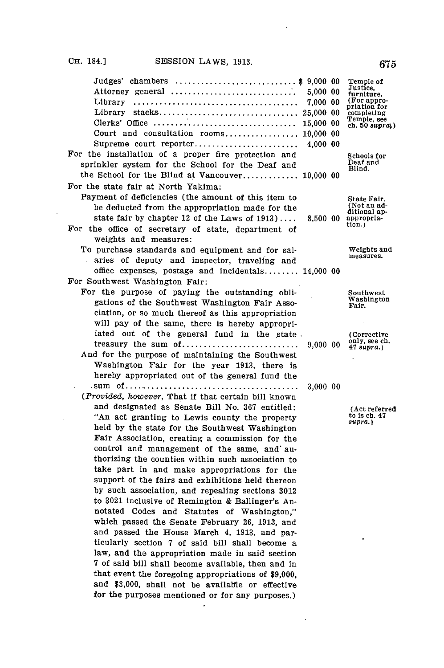$\bar{\mathcal{A}}$ 

 $\ddot{\phantom{a}}$ 

| Judges' chambers<br>Attorney general<br>Library<br>Library<br>Clerks' Office $\ldots, \ldots, \ldots, \ldots, \ldots, \ldots, \ldots, \ldots, \ldots$<br>Court and consultation rooms 10,000 00<br>Supreme court reporter<br>For the installation of a proper fire protection and                                                                                                                                                                                                                                                                                                                                                                                                                                                                                                                                                                                                                                                                                                                    | \$9,000 00<br>5,000 00<br>7,000 00<br>25,000 00<br>15,000 00<br>4,000 00 | Temple of<br>Justice,<br>furniture.<br>(For appro-<br>priation for<br>completing<br>Temple, see<br>ch. 50 $supra_i$ )<br>Schools for |
|------------------------------------------------------------------------------------------------------------------------------------------------------------------------------------------------------------------------------------------------------------------------------------------------------------------------------------------------------------------------------------------------------------------------------------------------------------------------------------------------------------------------------------------------------------------------------------------------------------------------------------------------------------------------------------------------------------------------------------------------------------------------------------------------------------------------------------------------------------------------------------------------------------------------------------------------------------------------------------------------------|--------------------------------------------------------------------------|--------------------------------------------------------------------------------------------------------------------------------------|
| sprinkler system for the School for the Deaf and<br>the School for the Blind at Vancouver 10,000 00<br>For the state fair at North Yakima:                                                                                                                                                                                                                                                                                                                                                                                                                                                                                                                                                                                                                                                                                                                                                                                                                                                           |                                                                          | Deaf and<br>Blind.                                                                                                                   |
| Payment of deficiencies (the amount of this item to<br>be deducted from the appropriation made for the<br>state fair by chapter 12 of the Laws of $1913$<br>For the office of secretary of state, department<br>weights and measures:                                                                                                                                                                                                                                                                                                                                                                                                                                                                                                                                                                                                                                                                                                                                                                | 8.500 00                                                                 | State Fair.<br>(Not an ad-<br>ditional ap-<br>appropria-<br>tion.)                                                                   |
| To purchase standards and equipment and for sal-<br>aries of deputy and inspector, traveling and                                                                                                                                                                                                                                                                                                                                                                                                                                                                                                                                                                                                                                                                                                                                                                                                                                                                                                     |                                                                          | Weights and<br>measures.                                                                                                             |
| office expenses, postage and incidentals 14,000 00<br>For Southwest Washington Fair:                                                                                                                                                                                                                                                                                                                                                                                                                                                                                                                                                                                                                                                                                                                                                                                                                                                                                                                 |                                                                          |                                                                                                                                      |
| For the purpose of paying the outstanding obli-<br>gations of the Southwest Washington Fair Asso-<br>ciation, or so much thereof as this appropriation<br>will pay of the same, there is hereby appropri-                                                                                                                                                                                                                                                                                                                                                                                                                                                                                                                                                                                                                                                                                                                                                                                            |                                                                          | Southwest<br>Washington<br>Fair.                                                                                                     |
| iated out of the general fund in the state.<br>treasury the sum of<br>And for the purpose of maintaining the Southwest<br>Washington Fair for the year 1913, there is<br>hereby appropriated out of the general fund the                                                                                                                                                                                                                                                                                                                                                                                                                                                                                                                                                                                                                                                                                                                                                                             | 9,000 00                                                                 | (Corrective)<br>only, see ch.<br>47 supra.)                                                                                          |
|                                                                                                                                                                                                                                                                                                                                                                                                                                                                                                                                                                                                                                                                                                                                                                                                                                                                                                                                                                                                      | 3,000 00                                                                 |                                                                                                                                      |
| (Provided, however, That if that certain bill known<br>and designated as Senate Bill No. 367 entitled:<br>"An act granting to Lewis county the property<br>held by the state for the Southwest Washington<br>Fair Association, creating a commission for the<br>control and management of the same, and au-<br>thorizing the counties within such association to<br>take part in and make appropriations for the<br>support of the fairs and exhibitions held thereon<br>by such association, and repealing sections 3012<br>to 3021 inclusive of Remington & Ballinger's An-<br>notated Codes and Statutes of Washington,"<br>which passed the Senate February 26, 1913, and<br>and passed the House March 4, 1913, and par-<br>ticularly section 7 of said bill shall become a<br>law, and the appropriation made in said section<br>7 of said bill shall become available, then and in<br>that event the foregoing appropriations of \$9,000.<br>and \$3,000, shall not be available or effective |                                                                          | (Act referred<br>to is ch. 47<br>supra.)                                                                                             |
| for the purposes mentioned or for any purposes.)                                                                                                                                                                                                                                                                                                                                                                                                                                                                                                                                                                                                                                                                                                                                                                                                                                                                                                                                                     |                                                                          |                                                                                                                                      |

 $\sim$